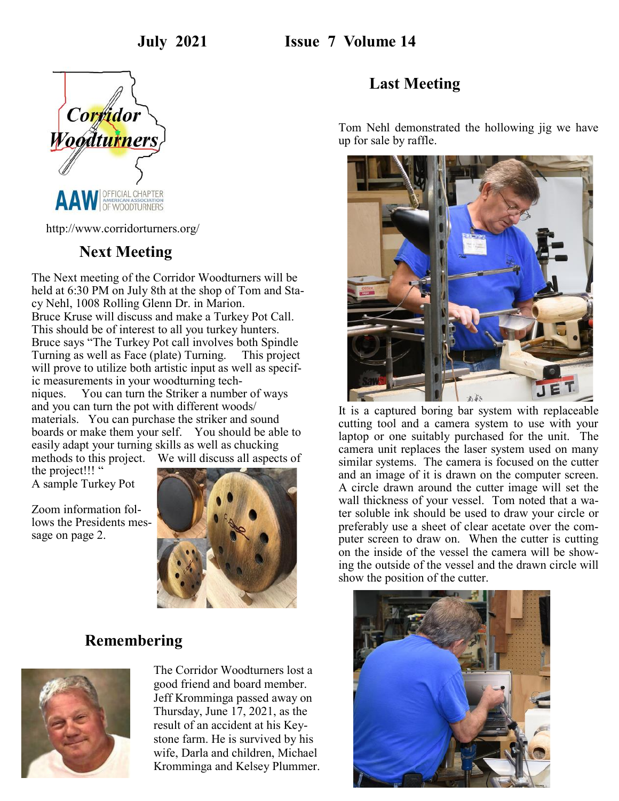

http://www.corridorturners.org/

#### **Next Meeting**

The Next meeting of the Corridor Woodturners will be held at 6:30 PM on July 8th at the shop of Tom and Stacy Nehl, 1008 Rolling Glenn Dr. in Marion. Bruce Kruse will discuss and make a Turkey Pot Call. This should be of interest to all you turkey hunters. Bruce says "The Turkey Pot call involves both Spindle Turning as well as Face (plate) Turning. This project will prove to utilize both artistic input as well as specific measurements in your woodturning techniques. You can turn the Striker a number of ways and you can turn the pot with different woods/ materials. You can purchase the striker and sound boards or make them your self. You should be able to easily adapt your turning skills as well as chucking methods to this project. We will discuss all aspects of

the project!!! " A sample Turkey Pot

Zoom information follows the Presidents message on page 2.



#### **Remembering**



The Corridor Woodturners lost a good friend and board member. Jeff Kromminga passed away on Thursday, June 17, 2021, as the result of an accident at his Keystone farm. He is survived by his wife, Darla and children, Michael Kromminga and Kelsey Plummer.

#### **Last Meeting**

Tom Nehl demonstrated the hollowing jig we have up for sale by raffle.



It is a captured boring bar system with replaceable cutting tool and a camera system to use with your laptop or one suitably purchased for the unit. The camera unit replaces the laser system used on many similar systems. The camera is focused on the cutter and an image of it is drawn on the computer screen. A circle drawn around the cutter image will set the wall thickness of your vessel. Tom noted that a water soluble ink should be used to draw your circle or preferably use a sheet of clear acetate over the computer screen to draw on. When the cutter is cutting on the inside of the vessel the camera will be showing the outside of the vessel and the drawn circle will show the position of the cutter.

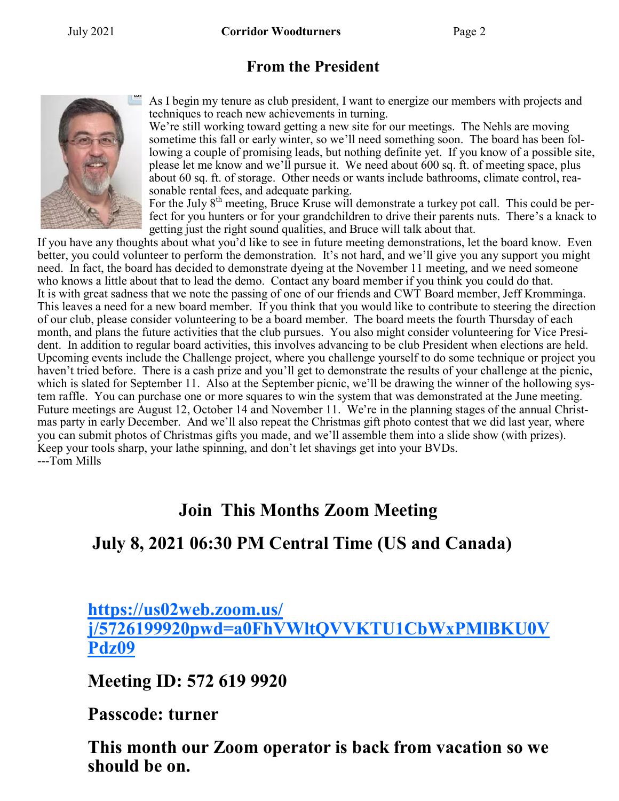## **From the President**



As I begin my tenure as club president, I want to energize our members with projects and techniques to reach new achievements in turning.

We're still working toward getting a new site for our meetings. The Nehls are moving sometime this fall or early winter, so we'll need something soon. The board has been following a couple of promising leads, but nothing definite yet. If you know of a possible site, please let me know and we'll pursue it. We need about 600 sq. ft. of meeting space, plus about 60 sq. ft. of storage. Other needs or wants include bathrooms, climate control, reasonable rental fees, and adequate parking.

For the July 8<sup>th</sup> meeting, Bruce Kruse will demonstrate a turkey pot call. This could be perfect for you hunters or for your grandchildren to drive their parents nuts. There's a knack to getting just the right sound qualities, and Bruce will talk about that.

If you have any thoughts about what you'd like to see in future meeting demonstrations, let the board know. Even better, you could volunteer to perform the demonstration. It's not hard, and we'll give you any support you might need. In fact, the board has decided to demonstrate dyeing at the November 11 meeting, and we need someone who knows a little about that to lead the demo. Contact any board member if you think you could do that. It is with great sadness that we note the passing of one of our friends and CWT Board member, Jeff Kromminga. This leaves a need for a new board member. If you think that you would like to contribute to steering the direction of our club, please consider volunteering to be a board member. The board meets the fourth Thursday of each month, and plans the future activities that the club pursues. You also might consider volunteering for Vice President. In addition to regular board activities, this involves advancing to be club President when elections are held. Upcoming events include the Challenge project, where you challenge yourself to do some technique or project you haven't tried before. There is a cash prize and you'll get to demonstrate the results of your challenge at the picnic, which is slated for September 11. Also at the September picnic, we'll be drawing the winner of the hollowing system raffle. You can purchase one or more squares to win the system that was demonstrated at the June meeting. Future meetings are August 12, October 14 and November 11. We're in the planning stages of the annual Christmas party in early December. And we'll also repeat the Christmas gift photo contest that we did last year, where you can submit photos of Christmas gifts you made, and we'll assemble them into a slide show (with prizes). Keep your tools sharp, your lathe spinning, and don't let shavings get into your BVDs. ---Tom Mills

# **Join This Months Zoom Meeting**

### **July 8, 2021 06:30 PM Central Time (US and Canada)**

# **[https://us02web.zoom.us/](https://us02web.zoom.us/j/5726199920pwd=a0FhVWltQVVKTU1CbWxPMlBKU0VPdz09) [j/5726199920pwd=a0FhVWltQVVKTU1CbWxPMlBKU0V](https://us02web.zoom.us/j/5726199920pwd=a0FhVWltQVVKTU1CbWxPMlBKU0VPdz09) [Pdz09](https://us02web.zoom.us/j/5726199920pwd=a0FhVWltQVVKTU1CbWxPMlBKU0VPdz09)**

**Meeting ID: 572 619 9920**

### **Passcode: turner**

**This month our Zoom operator is back from vacation so we should be on.**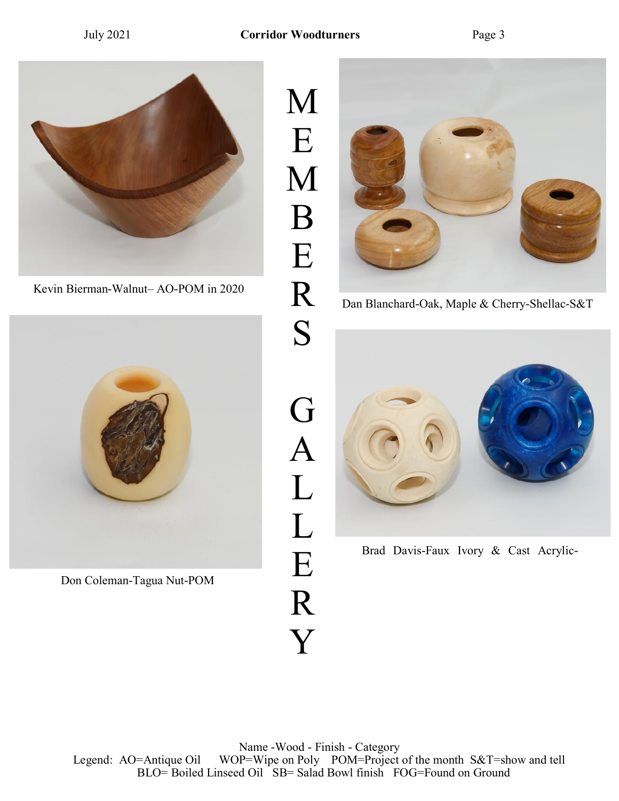

Kevin Bierman-Walnut– AO-POM in 2020



Don Coleman-Tagua Nut-POM

M E M B E R S G A L L E R Y



Dan Blanchard-Oak, Maple & Cherry-Shellac-S&T



Brad Davis-Faux Ivory & Cast Acrylic-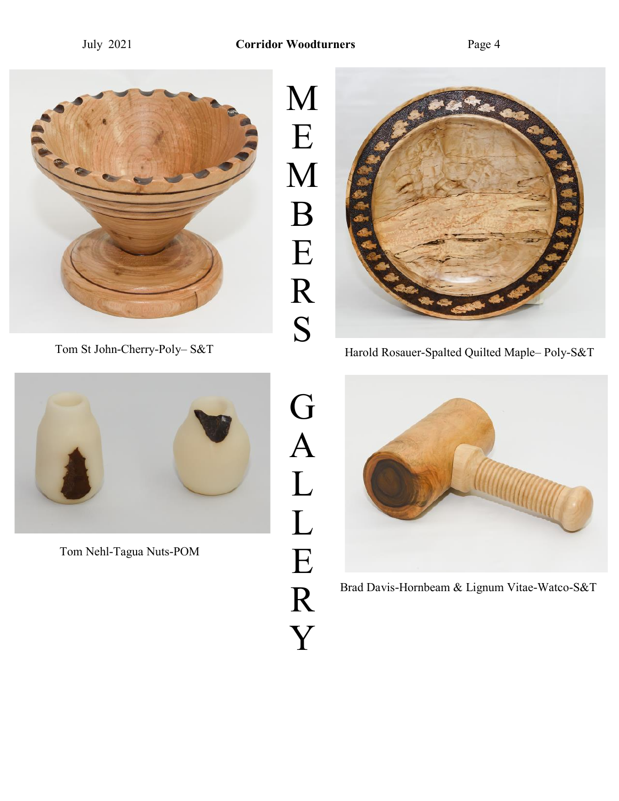



Tom Nehl-Tagua Nuts-POM



G

A

L

L

E

R

Y



Tom St John-Cherry-Poly– S&T<br>Harold Rosauer-Spalted Quilted Maple– Poly-S&T



Brad Davis-Hornbeam & Lignum Vitae-Watco-S&T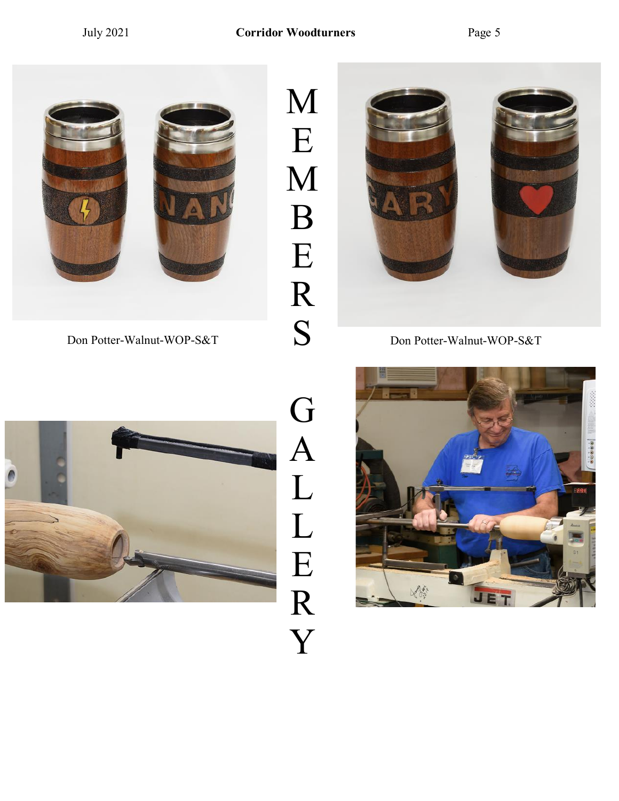M

E

M

B

E

R

S



Don Potter-Walnut-WOP-S&T Don Potter-Walnut-WOP-S&T





# G A L L E R Y